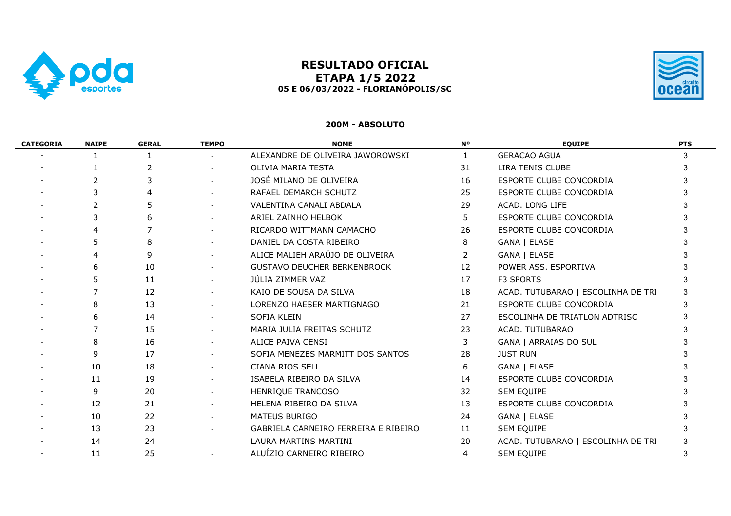

# **RESULTADO OFICIAL ETAPA 1/5 2022 05 E 06/03/2022 - FLORIANÓPOLIS/SC**



### **200M - ABSOLUTO**

| <b>CATEGORIA</b> | <b>NAIPE</b> | <b>GERAL</b> | <b>TEMPO</b> | <b>NOME</b>                          | <b>N°</b>      | <b>EQUIPE</b>                      | <b>PTS</b> |
|------------------|--------------|--------------|--------------|--------------------------------------|----------------|------------------------------------|------------|
|                  | 1            | 1            |              | ALEXANDRE DE OLIVEIRA JAWOROWSKI     | $\mathbf{1}$   | <b>GERACAO AGUA</b>                | 3          |
|                  |              | 2            |              | OLIVIA MARIA TESTA                   | 31             | LIRA TENIS CLUBE                   | 3          |
|                  |              |              |              | JOSÉ MILANO DE OLIVEIRA              | 16             | ESPORTE CLUBE CONCORDIA            |            |
|                  |              |              |              | RAFAEL DEMARCH SCHUTZ                | 25             | ESPORTE CLUBE CONCORDIA            |            |
|                  | 2            | 5            |              | VALENTINA CANALI ABDALA              | 29             | ACAD. LONG LIFE                    |            |
|                  |              | 6            |              | ARIEL ZAINHO HELBOK                  | 5              | ESPORTE CLUBE CONCORDIA            |            |
|                  |              |              |              | RICARDO WITTMANN CAMACHO             | 26             | ESPORTE CLUBE CONCORDIA            |            |
|                  |              | 8            | $\sim$       | DANIEL DA COSTA RIBEIRO              | 8              | GANA   ELASE                       |            |
|                  | 4            | 9            |              | ALICE MALIEH ARAÚJO DE OLIVEIRA      | $\overline{2}$ | GANA   ELASE                       |            |
|                  | 6            | 10           |              | <b>GUSTAVO DEUCHER BERKENBROCK</b>   | 12             | POWER ASS. ESPORTIVA               |            |
|                  |              | 11           |              | JÚLIA ZIMMER VAZ                     | 17             | F3 SPORTS                          | 3          |
|                  |              | 12           |              | KAIO DE SOUSA DA SILVA               | 18             | ACAD. TUTUBARAO   ESCOLINHA DE TRI |            |
|                  | 8            | 13           |              | LORENZO HAESER MARTIGNAGO            | 21             | ESPORTE CLUBE CONCORDIA            |            |
|                  | 6            | 14           |              | SOFIA KLEIN                          | 27             | ESCOLINHA DE TRIATLON ADTRISC      |            |
|                  |              | 15           |              | MARIA JULIA FREITAS SCHUTZ           | 23             | ACAD. TUTUBARAO                    |            |
|                  | 8            | 16           |              | ALICE PAIVA CENSI                    | 3              | GANA   ARRAIAS DO SUL              |            |
|                  | q            | 17           | $\sim$       | SOFIA MENEZES MARMITT DOS SANTOS     | 28             | <b>JUST RUN</b>                    |            |
|                  | 10           | 18           | $\sim$       | <b>CIANA RIOS SELL</b>               | 6              | GANA   ELASE                       |            |
|                  | 11           | 19           |              | ISABELA RIBEIRO DA SILVA             | 14             | ESPORTE CLUBE CONCORDIA            |            |
|                  | 9            | 20           |              | HENRIQUE TRANCOSO                    | 32             | SEM EQUIPE                         |            |
|                  | 12           | 21           |              | HELENA RIBEIRO DA SILVA              | 13             | ESPORTE CLUBE CONCORDIA            |            |
|                  | 10           | 22           |              | <b>MATEUS BURIGO</b>                 | 24             | GANA   ELASE                       |            |
|                  | 13           | 23           |              | GABRIELA CARNEIRO FERREIRA E RIBEIRO | 11             | SEM EQUIPE                         |            |
|                  | 14           | 24           |              | LAURA MARTINS MARTINI                | 20             | ACAD. TUTUBARAO   ESCOLINHA DE TRI |            |
|                  | 11           | 25           |              | ALUÍZIO CARNEIRO RIBEIRO             | 4              | SEM EQUIPE                         | 3          |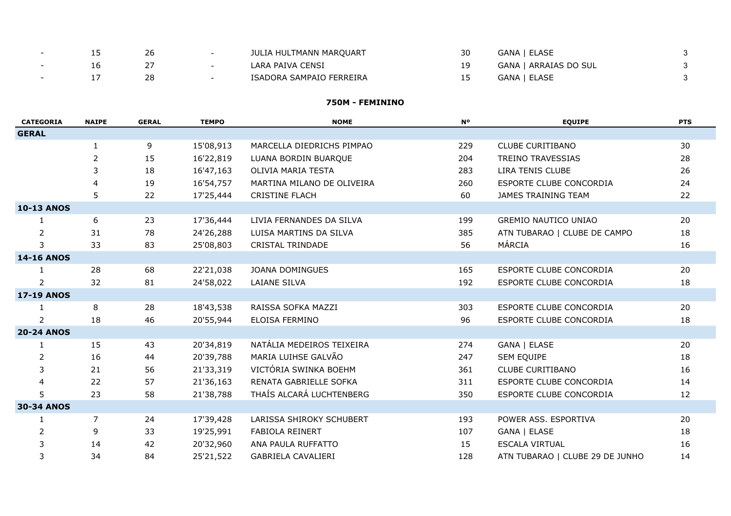|  | 26 | JULIA HULTMANN MARQUART  | GANA   ELASE          |  |
|--|----|--------------------------|-----------------------|--|
|  |    | LARA PAIVA CENSI         | GANA   ARRAIAS DO SUL |  |
|  | 28 | ISADORA SAMPAIO FERREIRA | GANA   ELASE          |  |

#### **750M - FEMININO**

| <b>CATEGORIA</b>  | <b>NAIPE</b>   | <b>GERAL</b> | <b>TEMPO</b> | <b>NOME</b>                | <b>N°</b> | <b>EQUIPE</b>                   | <b>PTS</b> |
|-------------------|----------------|--------------|--------------|----------------------------|-----------|---------------------------------|------------|
| <b>GERAL</b>      |                |              |              |                            |           |                                 |            |
|                   | 1              | 9            | 15'08,913    | MARCELLA DIEDRICHS PIMPAO  | 229       | <b>CLUBE CURITIBANO</b>         | 30         |
|                   | $\overline{2}$ | 15           | 16'22,819    | LUANA BORDIN BUARQUE       | 204       | <b>TREINO TRAVESSIAS</b>        | 28         |
|                   | 3              | 18           | 16'47,163    | OLIVIA MARIA TESTA         | 283       | LIRA TENIS CLUBE                | 26         |
|                   | 4              | 19           | 16'54,757    | MARTINA MILANO DE OLIVEIRA | 260       | ESPORTE CLUBE CONCORDIA         | 24         |
|                   | 5              | 22           | 17'25,444    | <b>CRISTINE FLACH</b>      | 60        | JAMES TRAINING TEAM             | 22         |
| <b>10-13 ANOS</b> |                |              |              |                            |           |                                 |            |
| 1                 | 6              | 23           | 17'36,444    | LIVIA FERNANDES DA SILVA   | 199       | <b>GREMIO NAUTICO UNIAO</b>     | 20         |
| 2                 | 31             | 78           | 24'26,288    | LUISA MARTINS DA SILVA     | 385       | ATN TUBARAO   CLUBE DE CAMPO    | 18         |
| 3                 | 33             | 83           | 25'08,803    | <b>CRISTAL TRINDADE</b>    | 56        | MÁRCIA                          | 16         |
| <b>14-16 ANOS</b> |                |              |              |                            |           |                                 |            |
| 1                 | 28             | 68           | 22'21,038    | <b>JOANA DOMINGUES</b>     | 165       | ESPORTE CLUBE CONCORDIA         | 20         |
| $\overline{2}$    | 32             | 81           | 24'58,022    | LAIANE SILVA               | 192       | ESPORTE CLUBE CONCORDIA         | 18         |
| <b>17-19 ANOS</b> |                |              |              |                            |           |                                 |            |
| $\mathbf{1}$      | 8              | 28           | 18'43,538    | RAISSA SOFKA MAZZI         | 303       | ESPORTE CLUBE CONCORDIA         | 20         |
| 2                 | 18             | 46           | 20'55,944    | ELOISA FERMINO             | 96        | ESPORTE CLUBE CONCORDIA         | 18         |
| <b>20-24 ANOS</b> |                |              |              |                            |           |                                 |            |
| $\mathbf{1}$      | 15             | 43           | 20'34,819    | NATÁLIA MEDEIROS TEIXEIRA  | 274       | GANA   ELASE                    | 20         |
| 2                 | 16             | 44           | 20'39,788    | MARIA LUIHSE GALVÃO        | 247       | SEM EQUIPE                      | 18         |
| 3                 | 21             | 56           | 21'33,319    | VICTÓRIA SWINKA BOEHM      | 361       | <b>CLUBE CURITIBANO</b>         | 16         |
| 4                 | 22             | 57           | 21'36,163    | RENATA GABRIELLE SOFKA     | 311       | ESPORTE CLUBE CONCORDIA         | 14         |
| 5                 | 23             | 58           | 21'38,788    | THAÍS ALCARÁ LUCHTENBERG   | 350       | ESPORTE CLUBE CONCORDIA         | 12         |
| <b>30-34 ANOS</b> |                |              |              |                            |           |                                 |            |
| 1                 | $\overline{7}$ | 24           | 17'39,428    | LARISSA SHIROKY SCHUBERT   | 193       | POWER ASS. ESPORTIVA            | 20         |
| $\overline{2}$    | 9              | 33           | 19'25,991    | FABIOLA REINERT            | 107       | GANA   ELASE                    | 18         |
| 3                 | 14             | 42           | 20'32,960    | ANA PAULA RUFFATTO         | 15        | ESCALA VIRTUAL                  | 16         |
| 3                 | 34             | 84           | 25'21,522    | GABRIELA CAVALIERI         | 128       | ATN TUBARAO   CLUBE 29 DE JUNHO | 14         |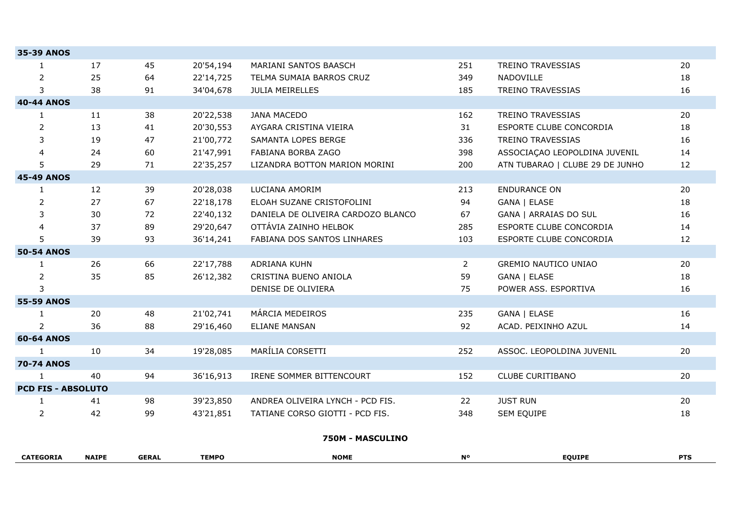| <b>35-39 ANOS</b>         |              |              |              |                                    |                |                                 |            |
|---------------------------|--------------|--------------|--------------|------------------------------------|----------------|---------------------------------|------------|
| $\mathbf{1}$              | 17           | 45           | 20'54,194    | MARIANI SANTOS BAASCH              | 251            | TREINO TRAVESSIAS               | 20         |
| $\overline{2}$            | 25           | 64           | 22'14,725    | TELMA SUMAIA BARROS CRUZ           | 349            | NADOVILLE                       | 18         |
| 3                         | 38           | 91           | 34'04,678    | JULIA MEIRELLES                    | 185            | <b>TREINO TRAVESSIAS</b>        | 16         |
| <b>40-44 ANOS</b>         |              |              |              |                                    |                |                                 |            |
| $\mathbf{1}$              | 11           | 38           | 20'22,538    | <b>JANA MACEDO</b>                 | 162            | TREINO TRAVESSIAS               | 20         |
| $\overline{2}$            | 13           | 41           | 20'30,553    | AYGARA CRISTINA VIEIRA             | 31             | ESPORTE CLUBE CONCORDIA         | 18         |
| 3                         | 19           | 47           | 21'00,772    | SAMANTA LOPES BERGE                | 336            | <b>TREINO TRAVESSIAS</b>        | 16         |
| 4                         | 24           | 60           | 21'47,991    | FABIANA BORBA ZAGO                 | 398            | ASSOCIAÇÃO LEOPOLDINA JUVENIL   | 14         |
| 5                         | 29           | 71           | 22'35,257    | LIZANDRA BOTTON MARION MORINI      | 200            | ATN TUBARAO   CLUBE 29 DE JUNHO | 12         |
| <b>45-49 ANOS</b>         |              |              |              |                                    |                |                                 |            |
| 1                         | 12           | 39           | 20'28,038    | LUCIANA AMORIM                     | 213            | <b>ENDURANCE ON</b>             | 20         |
| $\overline{2}$            | 27           | 67           | 22'18,178    | ELOAH SUZANE CRISTOFOLINI          | 94             | GANA   ELASE                    | 18         |
| 3                         | 30           | 72           | 22'40,132    | DANIELA DE OLIVEIRA CARDOZO BLANCO | 67             | GANA   ARRAIAS DO SUL           | 16         |
| 4                         | 37           | 89           | 29'20,647    | OTTÁVIA ZAINHO HELBOK              | 285            | ESPORTE CLUBE CONCORDIA         | 14         |
| 5                         | 39           | 93           | 36'14,241    | FABIANA DOS SANTOS LINHARES        | 103            | ESPORTE CLUBE CONCORDIA         | 12         |
| <b>50-54 ANOS</b>         |              |              |              |                                    |                |                                 |            |
| 1                         | 26           | 66           | 22'17,788    | <b>ADRIANA KUHN</b>                | $\overline{2}$ | <b>GREMIO NAUTICO UNIAO</b>     | 20         |
| $\overline{c}$            | 35           | 85           | 26'12,382    | CRISTINA BUENO ANIOLA              | 59             | GANA   ELASE                    | 18         |
| 3                         |              |              |              | DENISE DE OLIVIERA                 | 75             | POWER ASS. ESPORTIVA            | 16         |
| <b>55-59 ANOS</b>         |              |              |              |                                    |                |                                 |            |
| 1                         | 20           | 48           | 21'02,741    | MÁRCIA MEDEIROS                    | 235            | GANA   ELASE                    | 16         |
| $\overline{2}$            | 36           | 88           | 29'16,460    | <b>ELIANE MANSAN</b>               | 92             | ACAD. PEIXINHO AZUL             | 14         |
| <b>60-64 ANOS</b>         |              |              |              |                                    |                |                                 |            |
| $\mathbf{1}$              | 10           | 34           | 19'28,085    | MARÍLIA CORSETTI                   | 252            | ASSOC. LEOPOLDINA JUVENIL       | 20         |
| <b>70-74 ANOS</b>         |              |              |              |                                    |                |                                 |            |
| 1                         | 40           | 94           | 36'16,913    | IRENE SOMMER BITTENCOURT           | 152            | <b>CLUBE CURITIBANO</b>         | 20         |
| <b>PCD FIS - ABSOLUTO</b> |              |              |              |                                    |                |                                 |            |
| $\mathbf{1}$              | 41           | 98           | 39'23,850    | ANDREA OLIVEIRA LYNCH - PCD FIS.   | 22             | <b>JUST RUN</b>                 | 20         |
| $\overline{2}$            | 42           | 99           | 43'21,851    | TATIANE CORSO GIOTTI - PCD FIS.    | 348            | SEM EQUIPE                      | 18         |
|                           |              |              |              | 750M - MASCULINO                   |                |                                 |            |
| <b>CATEGORIA</b>          | <b>NAIPE</b> | <b>GERAL</b> | <b>TEMPO</b> | <b>NOME</b>                        | <b>N°</b>      | <b>EQUIPE</b>                   | <b>PTS</b> |
|                           |              |              |              |                                    |                |                                 |            |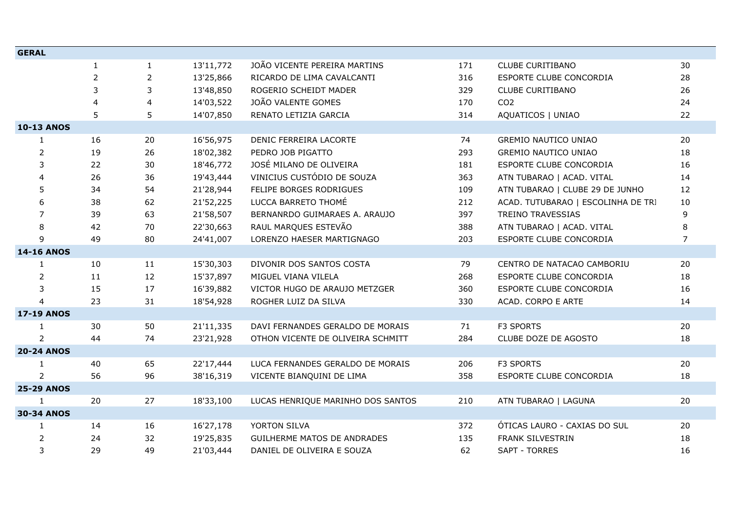| <b>GERAL</b>      |                |                |           |                                   |     |                                    |                |
|-------------------|----------------|----------------|-----------|-----------------------------------|-----|------------------------------------|----------------|
|                   | $\mathbf{1}$   | $\mathbf{1}$   | 13'11,772 | JOÃO VICENTE PEREIRA MARTINS      | 171 | <b>CLUBE CURITIBANO</b>            | 30             |
|                   | $\overline{2}$ | $\overline{2}$ | 13'25,866 | RICARDO DE LIMA CAVALCANTI        | 316 | ESPORTE CLUBE CONCORDIA            | 28             |
|                   | 3              | 3              | 13'48,850 | ROGERIO SCHEIDT MADER             | 329 | CLUBE CURITIBANO                   | 26             |
|                   | $\overline{4}$ | 4              | 14'03,522 | JOÃO VALENTE GOMES                | 170 | CO <sub>2</sub>                    | 24             |
|                   | 5              | 5              | 14'07,850 | RENATO LETIZIA GARCIA             | 314 | AQUATICOS   UNIAO                  | 22             |
| <b>10-13 ANOS</b> |                |                |           |                                   |     |                                    |                |
| 1                 | 16             | 20             | 16'56,975 | DENIC FERREIRA LACORTE            | 74  | <b>GREMIO NAUTICO UNIAO</b>        | 20             |
| $\overline{2}$    | 19             | 26             | 18'02,382 | PEDRO JOB PIGATTO                 | 293 | <b>GREMIO NAUTICO UNIAO</b>        | 18             |
| 3                 | 22             | 30             | 18'46,772 | JOSÉ MILANO DE OLIVEIRA           | 181 | ESPORTE CLUBE CONCORDIA            | 16             |
| 4                 | 26             | 36             | 19'43,444 | VINICIUS CUSTÓDIO DE SOUZA        | 363 | ATN TUBARAO   ACAD. VITAL          | 14             |
| 5                 | 34             | 54             | 21'28,944 | FELIPE BORGES RODRIGUES           | 109 | ATN TUBARAO   CLUBE 29 DE JUNHO    | 12             |
| 6                 | 38             | 62             | 21'52,225 | LUCCA BARRETO THOMÉ               | 212 | ACAD. TUTUBARAO   ESCOLINHA DE TRI | 10             |
| 7                 | 39             | 63             | 21'58,507 | BERNANRDO GUIMARAES A. ARAUJO     | 397 | TREINO TRAVESSIAS                  | 9              |
| 8                 | 42             | 70             | 22'30,663 | RAUL MARQUES ESTEVÃO              | 388 | ATN TUBARAO   ACAD. VITAL          | 8              |
| 9                 | 49             | 80             | 24'41,007 | LORENZO HAESER MARTIGNAGO         | 203 | ESPORTE CLUBE CONCORDIA            | $\overline{7}$ |
| <b>14-16 ANOS</b> |                |                |           |                                   |     |                                    |                |
| $\mathbf{1}$      | 10             | 11             | 15'30,303 | DIVONIR DOS SANTOS COSTA          | 79  | CENTRO DE NATACAO CAMBORIU         | 20             |
| $\overline{2}$    | 11             | 12             | 15'37,897 | MIGUEL VIANA VILELA               | 268 | ESPORTE CLUBE CONCORDIA            | 18             |
| 3                 | 15             | 17             | 16'39,882 | VICTOR HUGO DE ARAUJO METZGER     | 360 | ESPORTE CLUBE CONCORDIA            | 16             |
| $\overline{4}$    | 23             | 31             | 18'54,928 | ROGHER LUIZ DA SILVA              | 330 | ACAD. CORPO E ARTE                 | 14             |
| <b>17-19 ANOS</b> |                |                |           |                                   |     |                                    |                |
| 1                 | 30             | 50             | 21'11,335 | DAVI FERNANDES GERALDO DE MORAIS  | 71  | F3 SPORTS                          | 20             |
| $\overline{2}$    | 44             | 74             | 23'21,928 | OTHON VICENTE DE OLIVEIRA SCHMITT | 284 | CLUBE DOZE DE AGOSTO               | 18             |
| <b>20-24 ANOS</b> |                |                |           |                                   |     |                                    |                |
| 1                 | 40             | 65             | 22'17,444 | LUCA FERNANDES GERALDO DE MORAIS  | 206 | F3 SPORTS                          | 20             |
| $\overline{2}$    | 56             | 96             | 38'16,319 | VICENTE BIANQUINI DE LIMA         | 358 | ESPORTE CLUBE CONCORDIA            | 18             |
| <b>25-29 ANOS</b> |                |                |           |                                   |     |                                    |                |
| $\mathbf{1}$      | 20             | 27             | 18'33,100 | LUCAS HENRIQUE MARINHO DOS SANTOS | 210 | ATN TUBARAO   LAGUNA               | 20             |
| <b>30-34 ANOS</b> |                |                |           |                                   |     |                                    |                |
| $\mathbf{1}$      | 14             | 16             | 16'27,178 | YORTON SILVA                      | 372 | ÓTICAS LAURO - CAXIAS DO SUL       | 20             |
| $\overline{2}$    | 24             | 32             | 19'25,835 | GUILHERME MATOS DE ANDRADES       | 135 | <b>FRANK SILVESTRIN</b>            | 18             |
| 3                 | 29             | 49             | 21'03,444 | DANIEL DE OLIVEIRA E SOUZA        | 62  | SAPT - TORRES                      | 16             |
|                   |                |                |           |                                   |     |                                    |                |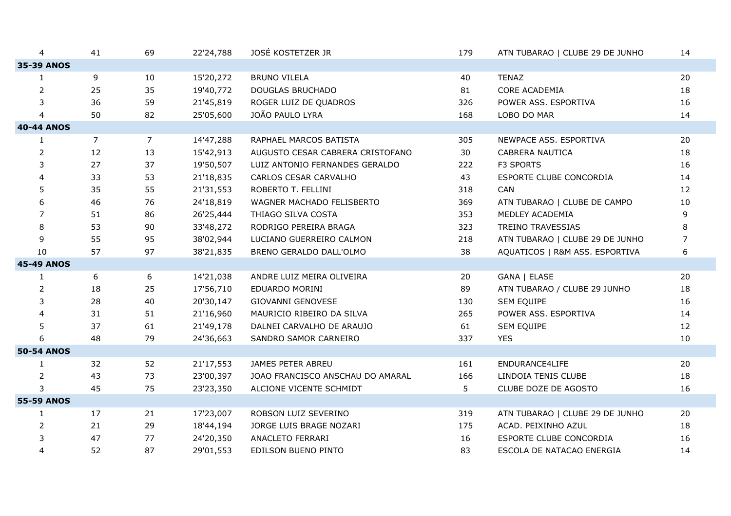| 4                 | 41             | 69             | 22'24,788 | JOSÉ KOSTETZER JR                | 179 | ATN TUBARAO   CLUBE 29 DE JUNHO | 14 |
|-------------------|----------------|----------------|-----------|----------------------------------|-----|---------------------------------|----|
| 35-39 ANOS        |                |                |           |                                  |     |                                 |    |
| 1                 | 9              | 10             | 15'20,272 | <b>BRUNO VILELA</b>              | 40  | <b>TENAZ</b>                    | 20 |
| $\overline{2}$    | 25             | 35             | 19'40,772 | DOUGLAS BRUCHADO                 | 81  | CORE ACADEMIA                   | 18 |
| 3                 | 36             | 59             | 21'45,819 | ROGER LUIZ DE QUADROS            | 326 | POWER ASS. ESPORTIVA            | 16 |
| 4                 | 50             | 82             | 25'05,600 | JOÃO PAULO LYRA                  | 168 | LOBO DO MAR                     | 14 |
| <b>40-44 ANOS</b> |                |                |           |                                  |     |                                 |    |
| $\mathbf{1}$      | $\overline{7}$ | $\overline{7}$ | 14'47,288 | RAPHAEL MARCOS BATISTA           | 305 | NEWPACE ASS. ESPORTIVA          | 20 |
| $\overline{2}$    | 12             | 13             | 15'42,913 | AUGUSTO CESAR CABRERA CRISTOFANO | 30  | CABRERA NAUTICA                 | 18 |
| 3                 | 27             | 37             | 19'50,507 | LUIZ ANTONIO FERNANDES GERALDO   | 222 | F3 SPORTS                       | 16 |
| 4                 | 33             | 53             | 21'18,835 | CARLOS CESAR CARVALHO            | 43  | ESPORTE CLUBE CONCORDIA         | 14 |
| 5                 | 35             | 55             | 21'31,553 | ROBERTO T. FELLINI               | 318 | CAN                             | 12 |
| 6                 | 46             | 76             | 24'18,819 | WAGNER MACHADO FELISBERTO        | 369 | ATN TUBARAO   CLUBE DE CAMPO    | 10 |
| 7                 | 51             | 86             | 26'25,444 | THIAGO SILVA COSTA               | 353 | MEDLEY ACADEMIA                 | 9  |
| 8                 | 53             | 90             | 33'48,272 | RODRIGO PEREIRA BRAGA            | 323 | TREINO TRAVESSIAS               | 8  |
| 9                 | 55             | 95             | 38'02,944 | LUCIANO GUERREIRO CALMON         | 218 | ATN TUBARAO   CLUBE 29 DE JUNHO | 7  |
| 10                | 57             | 97             | 38'21,835 | BRENO GERALDO DALL'OLMO          | 38  | AQUATICOS   R&M ASS. ESPORTIVA  | 6  |
| <b>45-49 ANOS</b> |                |                |           |                                  |     |                                 |    |
| 1                 | 6              | 6              | 14'21,038 | ANDRE LUIZ MEIRA OLIVEIRA        | 20  | GANA   ELASE                    | 20 |
| $\overline{2}$    | 18             | 25             | 17'56,710 | EDUARDO MORINI                   | 89  | ATN TUBARAO / CLUBE 29 JUNHO    | 18 |
| 3                 | 28             | 40             | 20'30,147 | <b>GIOVANNI GENOVESE</b>         | 130 | SEM EQUIPE                      | 16 |
| 4                 | 31             | 51             | 21'16,960 | MAURICIO RIBEIRO DA SILVA        | 265 | POWER ASS. ESPORTIVA            | 14 |
| 5                 | 37             | 61             | 21'49,178 | DALNEI CARVALHO DE ARAUJO        | 61  | SEM EQUIPE                      | 12 |
| 6                 | 48             | 79             | 24'36,663 | SANDRO SAMOR CARNEIRO            | 337 | <b>YES</b>                      | 10 |
| <b>50-54 ANOS</b> |                |                |           |                                  |     |                                 |    |
| $\mathbf{1}$      | 32             | 52             | 21'17,553 | JAMES PETER ABREU                | 161 | ENDURANCE4LIFE                  | 20 |
| $\overline{2}$    | 43             | 73             | 23'00,397 | JOAO FRANCISCO ANSCHAU DO AMARAL | 166 | LINDOIA TENIS CLUBE             | 18 |
| 3                 | 45             | 75             | 23'23,350 | ALCIONE VICENTE SCHMIDT          | 5   | CLUBE DOZE DE AGOSTO            | 16 |
| <b>55-59 ANOS</b> |                |                |           |                                  |     |                                 |    |
| $\mathbf{1}$      | 17             | 21             | 17'23,007 | ROBSON LUIZ SEVERINO             | 319 | ATN TUBARAO   CLUBE 29 DE JUNHO | 20 |
| 2                 | 21             | 29             | 18'44,194 | JORGE LUIS BRAGE NOZARI          | 175 | ACAD. PEIXINHO AZUL             | 18 |
| 3                 | 47             | 77             | 24'20,350 | ANACLETO FERRARI                 | 16  | ESPORTE CLUBE CONCORDIA         | 16 |
| 4                 | 52             | 87             | 29'01,553 | EDILSON BUENO PINTO              | 83  | ESCOLA DE NATACAO ENERGIA       | 14 |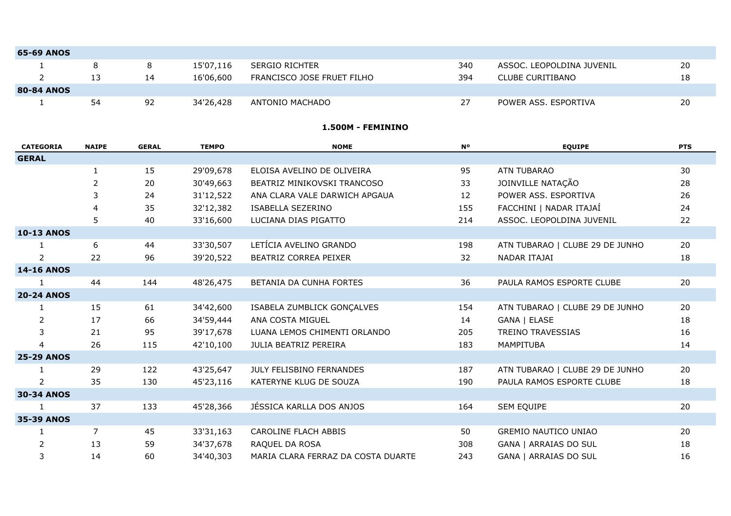| <b>65-69 ANOS</b> |    |    |           |                            |     |                           |    |
|-------------------|----|----|-----------|----------------------------|-----|---------------------------|----|
|                   |    |    | 15'07,116 | SERGIO RICHTER             | 340 | ASSOC. LEOPOLDINA JUVENIL | 20 |
|                   |    | 14 | 16'06,600 | FRANCISCO JOSE FRUET FILHO | 394 | CLUBE CURITIBANO          | 18 |
| <b>80-84 ANOS</b> |    |    |           |                            |     |                           |    |
|                   | 54 | 92 | 34'26,428 | ANTONIO MACHADO            | 27  | POWER ASS, ESPORTIVA      | 20 |

#### **1.500M - FEMININO**

| <b>CATEGORIA</b>  | <b>NAIPE</b>   | <b>GERAL</b> | <b>TEMPO</b> | <b>NOME</b>                        | <b>N°</b> | <b>EQUIPE</b>                   | <b>PTS</b> |
|-------------------|----------------|--------------|--------------|------------------------------------|-----------|---------------------------------|------------|
| <b>GERAL</b>      |                |              |              |                                    |           |                                 |            |
|                   | 1              | 15           | 29'09,678    | ELOISA AVELINO DE OLIVEIRA         | 95        | <b>ATN TUBARAO</b>              | 30         |
|                   | $\overline{2}$ | 20           | 30'49,663    | BEATRIZ MINIKOVSKI TRANCOSO        | 33        | JOINVILLE NATAÇÃO               | 28         |
|                   | 3              | 24           | 31'12,522    | ANA CLARA VALE DARWICH APGAUA      | 12        | POWER ASS. ESPORTIVA            | 26         |
|                   | 4              | 35           | 32'12,382    | ISABELLA SEZERINO                  | 155       | FACCHINI   NADAR ITAJAÍ         | 24         |
|                   | 5              | 40           | 33'16,600    | LUCIANA DIAS PIGATTO               | 214       | ASSOC. LEOPOLDINA JUVENIL       | 22         |
| <b>10-13 ANOS</b> |                |              |              |                                    |           |                                 |            |
|                   | 6              | 44           | 33'30,507    | LETÍCIA AVELINO GRANDO             | 198       | ATN TUBARAO   CLUBE 29 DE JUNHO | 20         |
| $\overline{2}$    | 22             | 96           | 39'20,522    | BEATRIZ CORREA PEIXER              | 32        | NADAR ITAJAI                    | 18         |
| <b>14-16 ANOS</b> |                |              |              |                                    |           |                                 |            |
|                   | 44             | 144          | 48'26,475    | BETANIA DA CUNHA FORTES            | 36        | PAULA RAMOS ESPORTE CLUBE       | 20         |
| <b>20-24 ANOS</b> |                |              |              |                                    |           |                                 |            |
| 1                 | 15             | 61           | 34'42,600    | ISABELA ZUMBLICK GONCALVES         | 154       | ATN TUBARAO   CLUBE 29 DE JUNHO | 20         |
| 2                 | 17             | 66           | 34'59,444    | ANA COSTA MIGUEL                   | 14        | GANA   ELASE                    | 18         |
| 3                 | 21             | 95           | 39'17,678    | LUANA LEMOS CHIMENTI ORLANDO       | 205       | <b>TREINO TRAVESSIAS</b>        | 16         |
| 4                 | 26             | 115          | 42'10,100    | JULIA BEATRIZ PEREIRA              | 183       | MAMPITUBA                       | 14         |
| <b>25-29 ANOS</b> |                |              |              |                                    |           |                                 |            |
|                   | 29             | 122          | 43'25,647    | JULY FELISBINO FERNANDES           | 187       | ATN TUBARAO   CLUBE 29 DE JUNHO | 20         |
| 2                 | 35             | 130          | 45'23,116    | KATERYNE KLUG DE SOUZA             | 190       | PAULA RAMOS ESPORTE CLUBE       | 18         |
| <b>30-34 ANOS</b> |                |              |              |                                    |           |                                 |            |
| $\mathbf{1}$      | 37             | 133          | 45'28,366    | JÉSSICA KARLLA DOS ANJOS           | 164       | SEM EQUIPE                      | 20         |
| <b>35-39 ANOS</b> |                |              |              |                                    |           |                                 |            |
| 1                 | $\overline{7}$ | 45           | 33'31,163    | <b>CAROLINE FLACH ABBIS</b>        | 50        | <b>GREMIO NAUTICO UNIAO</b>     | 20         |
| 2                 | 13             | 59           | 34'37,678    | RAQUEL DA ROSA                     | 308       | GANA   ARRAIAS DO SUL           | 18         |
| 3                 | 14             | 60           | 34'40,303    | MARIA CLARA FERRAZ DA COSTA DUARTE | 243       | <b>GANA   ARRAIAS DO SUL</b>    | 16         |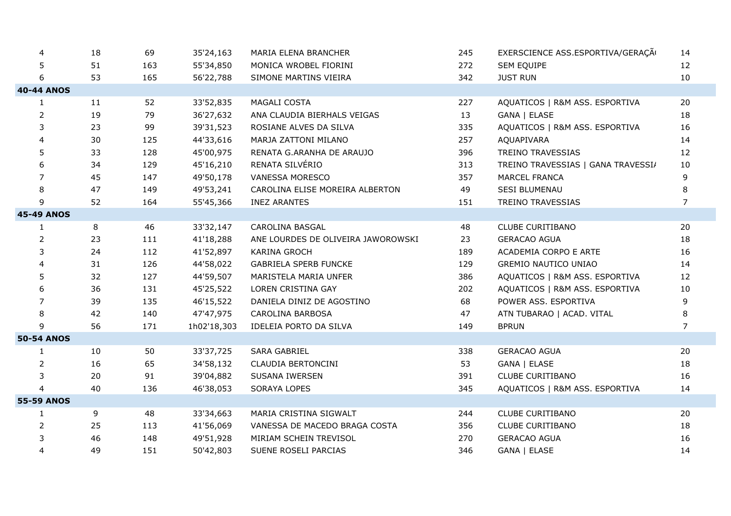| $\overline{4}$    | 18 | 69  | 35'24,163   | MARIA ELENA BRANCHER               | 245 | EXERSCIENCE ASS.ESPORTIVA/GERAÇÃO  | 14             |
|-------------------|----|-----|-------------|------------------------------------|-----|------------------------------------|----------------|
| 5                 | 51 | 163 | 55'34,850   | MONICA WROBEL FIORINI              | 272 | SEM EQUIPE                         | 12             |
| 6                 | 53 | 165 | 56'22,788   | SIMONE MARTINS VIEIRA              | 342 | <b>JUST RUN</b>                    | 10             |
| <b>40-44 ANOS</b> |    |     |             |                                    |     |                                    |                |
| $\mathbf{1}$      | 11 | 52  | 33'52,835   | MAGALI COSTA                       | 227 | AQUATICOS   R&M ASS. ESPORTIVA     | 20             |
| $\overline{2}$    | 19 | 79  | 36'27,632   | ANA CLAUDIA BIERHALS VEIGAS        | 13  | GANA   ELASE                       | 18             |
| 3                 | 23 | 99  | 39'31,523   | ROSIANE ALVES DA SILVA             | 335 | AQUATICOS   R&M ASS. ESPORTIVA     | 16             |
| 4                 | 30 | 125 | 44'33,616   | MARJA ZATTONI MILANO               | 257 | AQUAPIVARA                         | 14             |
| 5                 | 33 | 128 | 45'00,975   | RENATA G.ARANHA DE ARAUJO          | 396 | TREINO TRAVESSIAS                  | 12             |
| 6                 | 34 | 129 | 45'16,210   | RENATA SILVÉRIO                    | 313 | TREINO TRAVESSIAS   GANA TRAVESSI/ | 10             |
| $\overline{7}$    | 45 | 147 | 49'50,178   | <b>VANESSA MORESCO</b>             | 357 | <b>MARCEL FRANCA</b>               | 9              |
| 8                 | 47 | 149 | 49'53,241   | CAROLINA ELISE MOREIRA ALBERTON    | 49  | SESI BLUMENAU                      | 8              |
| 9                 | 52 | 164 | 55'45,366   | <b>INEZ ARANTES</b>                | 151 | <b>TREINO TRAVESSIAS</b>           | $\overline{7}$ |
| <b>45-49 ANOS</b> |    |     |             |                                    |     |                                    |                |
| $\mathbf{1}$      | 8  | 46  | 33'32,147   | CAROLINA BASGAL                    | 48  | <b>CLUBE CURITIBANO</b>            | 20             |
| $\overline{2}$    | 23 | 111 | 41'18,288   | ANE LOURDES DE OLIVEIRA JAWOROWSKI | 23  | <b>GERACAO AGUA</b>                | 18             |
| 3                 | 24 | 112 | 41'52,897   | KARINA GROCH                       | 189 | ACADEMIA CORPO E ARTE              | 16             |
| 4                 | 31 | 126 | 44'58,022   | <b>GABRIELA SPERB FUNCKE</b>       | 129 | GREMIO NAUTICO UNIAO               | 14             |
| 5                 | 32 | 127 | 44'59,507   | MARISTELA MARIA UNFER              | 386 | AQUATICOS   R&M ASS. ESPORTIVA     | 12             |
| 6                 | 36 | 131 | 45'25,522   | LOREN CRISTINA GAY                 | 202 | AQUATICOS   R&M ASS. ESPORTIVA     | 10             |
| 7                 | 39 | 135 | 46'15,522   | DANIELA DINIZ DE AGOSTINO          | 68  | POWER ASS. ESPORTIVA               | 9              |
| 8                 | 42 | 140 | 47'47,975   | CAROLINA BARBOSA                   | 47  | ATN TUBARAO   ACAD. VITAL          | 8              |
| 9                 | 56 | 171 | 1h02'18,303 | IDELEIA PORTO DA SILVA             | 149 | <b>BPRUN</b>                       | $\overline{7}$ |
| <b>50-54 ANOS</b> |    |     |             |                                    |     |                                    |                |
| 1                 | 10 | 50  | 33'37,725   | SARA GABRIEL                       | 338 | <b>GERACAO AGUA</b>                | 20             |
| $\overline{2}$    | 16 | 65  | 34'58,132   | CLAUDIA BERTONCINI                 | 53  | GANA   ELASE                       | 18             |
| 3                 | 20 | 91  | 39'04,882   | SUSANA IWERSEN                     | 391 | <b>CLUBE CURITIBANO</b>            | 16             |
| $\overline{4}$    | 40 | 136 | 46'38,053   | SORAYA LOPES                       | 345 | AQUATICOS   R&M ASS. ESPORTIVA     | 14             |
| <b>55-59 ANOS</b> |    |     |             |                                    |     |                                    |                |
| $\mathbf{1}$      | 9  | 48  | 33'34,663   | MARIA CRISTINA SIGWALT             | 244 | <b>CLUBE CURITIBANO</b>            | 20             |
| 2                 | 25 | 113 | 41'56,069   | VANESSA DE MACEDO BRAGA COSTA      | 356 | <b>CLUBE CURITIBANO</b>            | 18             |
| 3                 | 46 | 148 | 49'51,928   | MIRIAM SCHEIN TREVISOL             | 270 | <b>GERACAO AGUA</b>                | 16             |
| $\overline{4}$    | 49 | 151 | 50'42,803   | SUENE ROSELI PARCIAS               | 346 | GANA   ELASE                       | 14             |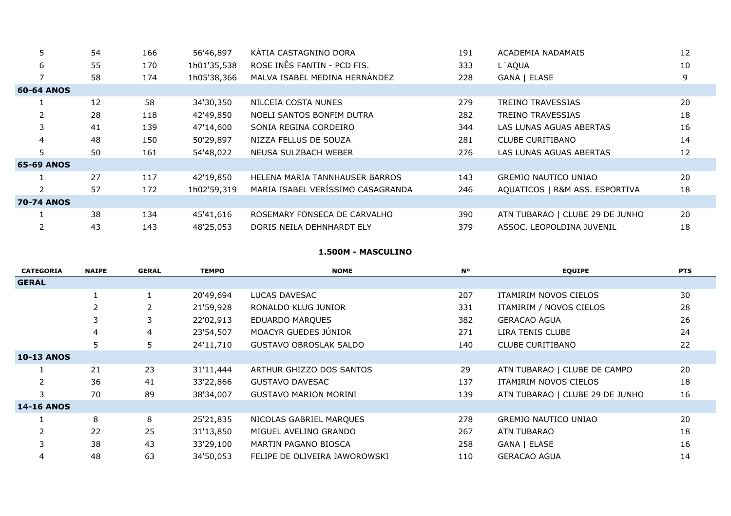| 5                 | 54 | 166 | 56'46,897   | KÁTIA CASTAGNINO DORA             | 191 | ACADEMIA NADAMAIS               | 12 |
|-------------------|----|-----|-------------|-----------------------------------|-----|---------------------------------|----|
| 6                 | 55 | 170 | 1h01'35,538 | ROSE INÊS FANTIN - PCD FIS.       | 333 | L'AQUA                          | 10 |
|                   | 58 | 174 | 1h05'38,366 | MALVA ISABEL MEDINA HERNÁNDEZ     | 228 | GANA   ELASE                    | 9  |
| 60-64 ANOS        |    |     |             |                                   |     |                                 |    |
|                   | 12 | 58  | 34'30,350   | NILCEIA COSTA NUNES               | 279 | <b>TREINO TRAVESSIAS</b>        | 20 |
|                   | 28 | 118 | 42'49,850   | NOELI SANTOS BONFIM DUTRA         | 282 | TREINO TRAVESSIAS               | 18 |
| 3                 | 41 | 139 | 47'14,600   | SONIA REGINA CORDEIRO             | 344 | LAS LUNAS AGUAS ABERTAS         | 16 |
| $\overline{4}$    | 48 | 150 | 50'29,897   | NIZZA FELLUS DE SOUZA             | 281 | CLUBE CURITIBANO                | 14 |
|                   | 50 | 161 | 54'48,022   | NEUSA SULZBACH WEBER              | 276 | LAS LUNAS AGUAS ABERTAS         | 12 |
| <b>65-69 ANOS</b> |    |     |             |                                   |     |                                 |    |
|                   | 27 | 117 | 42'19,850   | HELENA MARIA TANNHAUSER BARROS    | 143 | <b>GREMIO NAUTICO UNIAO</b>     | 20 |
|                   | 57 | 172 | 1h02'59,319 | MARIA ISABEL VERÍSSIMO CASAGRANDA | 246 | AQUATICOS   R&M ASS. ESPORTIVA  | 18 |
| <b>70-74 ANOS</b> |    |     |             |                                   |     |                                 |    |
|                   | 38 | 134 | 45'41,616   | ROSEMARY FONSECA DE CARVALHO      | 390 | ATN TUBARAO   CLUBE 29 DE JUNHO | 20 |
|                   | 43 | 143 | 48'25,053   | DORIS NEILA DEHNHARDT ELY         | 379 | ASSOC. LEOPOLDINA JUVENIL       | 18 |

#### **1.500M - MASCULINO**

| <b>CATEGORIA</b>  | <b>NAIPE</b> | <b>GERAL</b> | <b>TEMPO</b> | <b>NOME</b>                   | N°  | <b>EQUIPE</b>                   | <b>PTS</b> |
|-------------------|--------------|--------------|--------------|-------------------------------|-----|---------------------------------|------------|
| <b>GERAL</b>      |              |              |              |                               |     |                                 |            |
|                   |              |              | 20'49,694    | LUCAS DAVESAC                 | 207 | ITAMIRIM NOVOS CIELOS           | 30         |
|                   |              |              | 21'59,928    | RONALDO KLUG JUNIOR           | 331 | ITAMIRIM / NOVOS CIELOS         | 28         |
|                   |              | 3            | 22'02,913    | <b>EDUARDO MARQUES</b>        | 382 | <b>GERACAO AGUA</b>             | 26         |
|                   | 4            | 4            | 23'54,507    | MOACYR GUEDES JÚNIOR          | 271 | LIRA TENIS CLUBE                | 24         |
|                   | 5            | 5            | 24'11,710    | <b>GUSTAVO OBROSLAK SALDO</b> | 140 | <b>CLUBE CURITIBANO</b>         | 22         |
| <b>10-13 ANOS</b> |              |              |              |                               |     |                                 |            |
|                   | 21           | 23           | 31'11,444    | ARTHUR GHIZZO DOS SANTOS      | 29  | ATN TUBARAO   CLUBE DE CAMPO    | 20         |
|                   | 36           | 41           | 33'22,866    | <b>GUSTAVO DAVESAC</b>        | 137 | ITAMIRIM NOVOS CIELOS           | 18         |
|                   | 70           | 89           | 38'34,007    | <b>GUSTAVO MARION MORINI</b>  | 139 | ATN TUBARAO   CLUBE 29 DE JUNHO | 16         |
| <b>14-16 ANOS</b> |              |              |              |                               |     |                                 |            |
|                   | 8            | 8            | 25'21,835    | NICOLAS GABRIEL MARQUES       | 278 | <b>GREMIO NAUTICO UNIAO</b>     | 20         |
|                   | 22           | 25           | 31'13,850    | MIGUEL AVELINO GRANDO         | 267 | ATN TUBARAO                     | 18         |
| 3                 | 38           | 43           | 33'29,100    | MARTIN PAGANO BIOSCA          | 258 | GANA   ELASE                    | 16         |
| 4                 | 48           | 63           | 34'50,053    | FELIPE DE OLIVEIRA JAWOROWSKI | 110 | <b>GERACAO AGUA</b>             | 14         |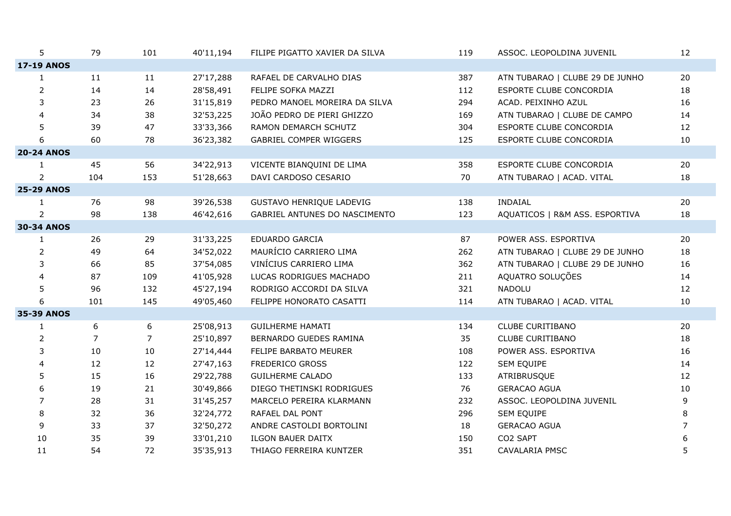| 5                 | 79             | 101            | 40'11,194 | FILIPE PIGATTO XAVIER DA SILVA | 119 | ASSOC. LEOPOLDINA JUVENIL       | 12             |
|-------------------|----------------|----------------|-----------|--------------------------------|-----|---------------------------------|----------------|
| <b>17-19 ANOS</b> |                |                |           |                                |     |                                 |                |
| $\mathbf{1}$      | 11             | 11             | 27'17,288 | RAFAEL DE CARVALHO DIAS        | 387 | ATN TUBARAO   CLUBE 29 DE JUNHO | 20             |
| $\overline{2}$    | 14             | 14             | 28'58,491 | FELIPE SOFKA MAZZI             | 112 | ESPORTE CLUBE CONCORDIA         | 18             |
| 3                 | 23             | 26             | 31'15,819 | PEDRO MANOEL MOREIRA DA SILVA  | 294 | ACAD. PEIXINHO AZUL             | 16             |
| 4                 | 34             | 38             | 32'53,225 | JOÃO PEDRO DE PIERI GHIZZO     | 169 | ATN TUBARAO   CLUBE DE CAMPO    | 14             |
| 5                 | 39             | 47             | 33'33,366 | RAMON DEMARCH SCHUTZ           | 304 | ESPORTE CLUBE CONCORDIA         | 12             |
| 6                 | 60             | 78             | 36'23,382 | <b>GABRIEL COMPER WIGGERS</b>  | 125 | ESPORTE CLUBE CONCORDIA         | 10             |
| <b>20-24 ANOS</b> |                |                |           |                                |     |                                 |                |
| $\mathbf{1}$      | 45             | 56             | 34'22,913 | VICENTE BIANQUINI DE LIMA      | 358 | ESPORTE CLUBE CONCORDIA         | 20             |
| $\overline{2}$    | 104            | 153            | 51'28,663 | DAVI CARDOSO CESARIO           | 70  | ATN TUBARAO   ACAD. VITAL       | 18             |
| <b>25-29 ANOS</b> |                |                |           |                                |     |                                 |                |
| 1                 | 76             | 98             | 39'26,538 | GUSTAVO HENRIQUE LADEVIG       | 138 | <b>INDAIAL</b>                  | 20             |
| $\overline{2}$    | 98             | 138            | 46'42,616 | GABRIEL ANTUNES DO NASCIMENTO  | 123 | AQUATICOS   R&M ASS. ESPORTIVA  | 18             |
| <b>30-34 ANOS</b> |                |                |           |                                |     |                                 |                |
| 1                 | 26             | 29             | 31'33,225 | EDUARDO GARCIA                 | 87  | POWER ASS. ESPORTIVA            | 20             |
| $\overline{2}$    | 49             | 64             | 34'52,022 | MAURÍCIO CARRIERO LIMA         | 262 | ATN TUBARAO   CLUBE 29 DE JUNHO | 18             |
| 3                 | 66             | 85             | 37'54,085 | VINÍCIUS CARRIERO LIMA         | 362 | ATN TUBARAO   CLUBE 29 DE JUNHO | 16             |
| 4                 | 87             | 109            | 41'05,928 | LUCAS RODRIGUES MACHADO        | 211 | AQUATRO SOLUÇÕES                | 14             |
| 5                 | 96             | 132            | 45'27,194 | RODRIGO ACCORDI DA SILVA       | 321 | <b>NADOLU</b>                   | 12             |
| 6                 | 101            | 145            | 49'05,460 | FELIPPE HONORATO CASATTI       | 114 | ATN TUBARAO   ACAD. VITAL       | 10             |
| <b>35-39 ANOS</b> |                |                |           |                                |     |                                 |                |
| $\mathbf{1}$      | 6              | 6              | 25'08,913 | <b>GUILHERME HAMATI</b>        | 134 | <b>CLUBE CURITIBANO</b>         | 20             |
| 2                 | $\overline{7}$ | $\overline{7}$ | 25'10,897 | BERNARDO GUEDES RAMINA         | 35  | <b>CLUBE CURITIBANO</b>         | 18             |
| 3                 | 10             | 10             | 27'14,444 | FELIPE BARBATO MEURER          | 108 | POWER ASS. ESPORTIVA            | 16             |
| 4                 | 12             | 12             | 27'47,163 | FREDERICO GROSS                | 122 | SEM EQUIPE                      | 14             |
| 5                 | 15             | 16             | 29'22,788 | <b>GUILHERME CALADO</b>        | 133 | ATRIBRUSQUE                     | 12             |
| 6                 | 19             | 21             | 30'49,866 | DIEGO THETINSKI RODRIGUES      | 76  | <b>GERACAO AGUA</b>             | $10\,$         |
| $\overline{7}$    | 28             | 31             | 31'45,257 | MARCELO PEREIRA KLARMANN       | 232 | ASSOC. LEOPOLDINA JUVENIL       | 9              |
| 8                 | 32             | 36             | 32'24,772 | RAFAEL DAL PONT                | 296 | SEM EQUIPE                      | 8              |
| 9                 | 33             | 37             | 32'50,272 | ANDRE CASTOLDI BORTOLINI       | 18  | <b>GERACAO AGUA</b>             | $\overline{7}$ |
| 10                | 35             | 39             | 33'01,210 | <b>ILGON BAUER DAITX</b>       | 150 | CO2 SAPT                        | 6              |
| 11                | 54             | 72             | 35'35,913 | THIAGO FERREIRA KUNTZER        | 351 | <b>CAVALARIA PMSC</b>           | 5              |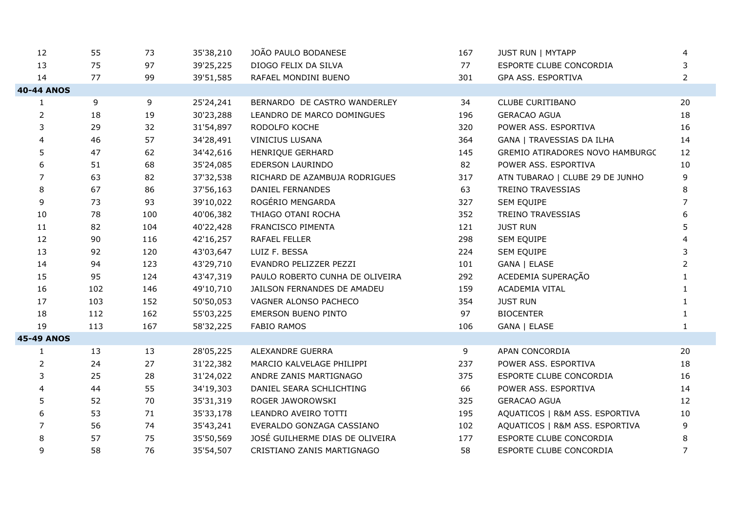| 12                | 55  | 73  | 35'38,210 | JOÃO PAULO BODANESE             | 167 | <b>JUST RUN   MYTAPP</b>               | 4              |
|-------------------|-----|-----|-----------|---------------------------------|-----|----------------------------------------|----------------|
| 13                | 75  | 97  | 39'25,225 | DIOGO FELIX DA SILVA            | 77  | ESPORTE CLUBE CONCORDIA                | 3              |
| 14                | 77  | 99  | 39'51,585 | RAFAEL MONDINI BUENO            | 301 | GPA ASS. ESPORTIVA                     | $\overline{2}$ |
| <b>40-44 ANOS</b> |     |     |           |                                 |     |                                        |                |
| 1                 | 9   | 9   | 25'24,241 | BERNARDO DE CASTRO WANDERLEY    | 34  | <b>CLUBE CURITIBANO</b>                | 20             |
| $\overline{2}$    | 18  | 19  | 30'23,288 | LEANDRO DE MARCO DOMINGUES      | 196 | <b>GERACAO AGUA</b>                    | 18             |
| 3                 | 29  | 32  | 31'54,897 | RODOLFO KOCHE                   | 320 | POWER ASS. ESPORTIVA                   | 16             |
| $\overline{4}$    | 46  | 57  | 34'28,491 | <b>VINICIUS LUSANA</b>          | 364 | GANA   TRAVESSIAS DA ILHA              | 14             |
| 5                 | 47  | 62  | 34'42,616 | HENRIQUE GERHARD                | 145 | <b>GREMIO ATIRADORES NOVO HAMBURGC</b> | 12             |
| 6                 | 51  | 68  | 35'24,085 | EDERSON LAURINDO                | 82  | POWER ASS. ESPORTIVA                   | 10             |
| $\overline{7}$    | 63  | 82  | 37'32,538 | RICHARD DE AZAMBUJA RODRIGUES   | 317 | ATN TUBARAO   CLUBE 29 DE JUNHO        | 9              |
| 8                 | 67  | 86  | 37'56,163 | DANIEL FERNANDES                | 63  | TREINO TRAVESSIAS                      | 8              |
| 9                 | 73  | 93  | 39'10,022 | ROGÉRIO MENGARDA                | 327 | SEM EQUIPE                             | 7              |
| 10                | 78  | 100 | 40'06,382 | THIAGO OTANI ROCHA              | 352 | TREINO TRAVESSIAS                      |                |
| 11                | 82  | 104 | 40'22,428 | FRANCISCO PIMENTA               | 121 | <b>JUST RUN</b>                        | 5              |
| 12                | 90  | 116 | 42'16,257 | RAFAEL FELLER                   | 298 | SEM EQUIPE                             |                |
| 13                | 92  | 120 | 43'03,647 | LUIZ F. BESSA                   | 224 | SEM EQUIPE                             | 3              |
| 14                | 94  | 123 | 43'29,710 | EVANDRO PELIZZER PEZZI          | 101 | GANA   ELASE                           | $\overline{2}$ |
| 15                | 95  | 124 | 43'47,319 | PAULO ROBERTO CUNHA DE OLIVEIRA | 292 | ACEDEMIA SUPERAÇÃO                     |                |
| 16                | 102 | 146 | 49'10,710 | JAILSON FERNANDES DE AMADEU     | 159 | ACADEMIA VITAL                         |                |
| 17                | 103 | 152 | 50'50,053 | VAGNER ALONSO PACHECO           | 354 | <b>JUST RUN</b>                        |                |
| 18                | 112 | 162 | 55'03,225 | <b>EMERSON BUENO PINTO</b>      | 97  | <b>BIOCENTER</b>                       |                |
| 19                | 113 | 167 | 58'32,225 | <b>FABIO RAMOS</b>              | 106 | GANA   ELASE                           |                |
| <b>45-49 ANOS</b> |     |     |           |                                 |     |                                        |                |
| 1                 | 13  | 13  | 28'05,225 | ALEXANDRE GUERRA                | 9   | APAN CONCORDIA                         | 20             |
| $\overline{2}$    | 24  | 27  | 31'22,382 | MARCIO KALVELAGE PHILIPPI       | 237 | POWER ASS. ESPORTIVA                   | 18             |
| 3                 | 25  | 28  | 31'24,022 | ANDRE ZANIS MARTIGNAGO          | 375 | ESPORTE CLUBE CONCORDIA                | 16             |
| 4                 | 44  | 55  | 34'19,303 | DANIEL SEARA SCHLICHTING        | 66  | POWER ASS. ESPORTIVA                   | 14             |
| 5                 | 52  | 70  | 35'31,319 | ROGER JAWOROWSKI                | 325 | <b>GERACAO AGUA</b>                    | 12             |
| 6                 | 53  | 71  | 35'33,178 | LEANDRO AVEIRO TOTTI            | 195 | AQUATICOS   R&M ASS. ESPORTIVA         | 10             |
| 7                 | 56  | 74  | 35'43,241 | EVERALDO GONZAGA CASSIANO       | 102 | AQUATICOS   R&M ASS. ESPORTIVA         | 9              |
| 8                 | 57  | 75  | 35'50,569 | JOSÉ GUILHERME DIAS DE OLIVEIRA | 177 | ESPORTE CLUBE CONCORDIA                | 8              |
| 9                 | 58  | 76  | 35'54,507 | CRISTIANO ZANIS MARTIGNAGO      | 58  | ESPORTE CLUBE CONCORDIA                | 7              |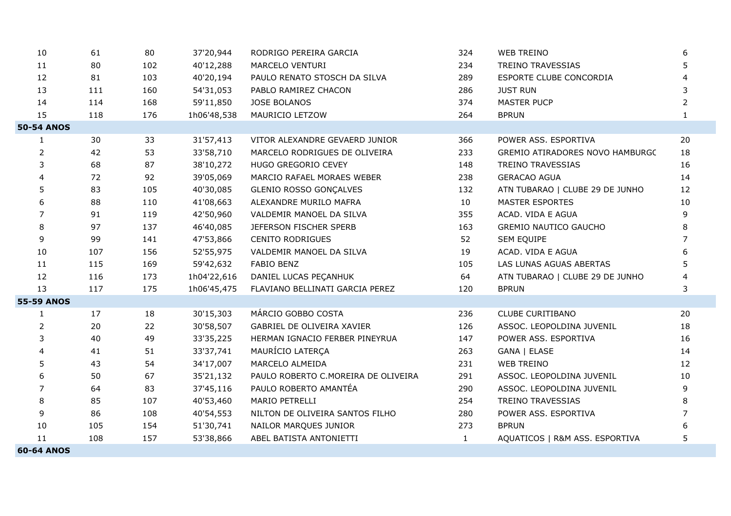| 10                | 61  | 80  | 37'20,944   | RODRIGO PEREIRA GARCIA              | 324          | <b>WEB TREINO</b>               | 6              |
|-------------------|-----|-----|-------------|-------------------------------------|--------------|---------------------------------|----------------|
| 11                | 80  | 102 | 40'12,288   | MARCELO VENTURI                     | 234          | TREINO TRAVESSIAS               | 5              |
| 12                | 81  | 103 | 40'20,194   | PAULO RENATO STOSCH DA SILVA        | 289          | ESPORTE CLUBE CONCORDIA         | 4              |
| 13                | 111 | 160 | 54'31,053   | PABLO RAMIREZ CHACON                | 286          | <b>JUST RUN</b>                 | 3              |
| 14                | 114 | 168 | 59'11,850   | JOSE BOLANOS                        | 374          | <b>MASTER PUCP</b>              | $\overline{2}$ |
| 15                | 118 | 176 | 1h06'48,538 | MAURICIO LETZOW                     | 264          | <b>BPRUN</b>                    | $\mathbf{1}$   |
| <b>50-54 ANOS</b> |     |     |             |                                     |              |                                 |                |
| $\mathbf{1}$      | 30  | 33  | 31'57,413   | VITOR ALEXANDRE GEVAERD JUNIOR      | 366          | POWER ASS. ESPORTIVA            | 20             |
| $\overline{2}$    | 42  | 53  | 33'58,710   | MARCELO RODRIGUES DE OLIVEIRA       | 233          | GREMIO ATIRADORES NOVO HAMBURGC | 18             |
| 3                 | 68  | 87  | 38'10,272   | HUGO GREGORIO CEVEY                 | 148          | TREINO TRAVESSIAS               | 16             |
| 4                 | 72  | 92  | 39'05,069   | MARCIO RAFAEL MORAES WEBER          | 238          | <b>GERACAO AGUA</b>             | 14             |
| 5                 | 83  | 105 | 40'30,085   | <b>GLENIO ROSSO GONÇALVES</b>       | 132          | ATN TUBARAO   CLUBE 29 DE JUNHO | 12             |
| 6                 | 88  | 110 | 41'08,663   | ALEXANDRE MURILO MAFRA              | 10           | <b>MASTER ESPORTES</b>          | 10             |
| 7                 | 91  | 119 | 42'50,960   | VALDEMIR MANOEL DA SILVA            | 355          | ACAD. VIDA E AGUA               | 9              |
| 8                 | 97  | 137 | 46'40,085   | JEFERSON FISCHER SPERB              | 163          | <b>GREMIO NAUTICO GAUCHO</b>    | 8              |
| 9                 | 99  | 141 | 47'53,866   | <b>CENITO RODRIGUES</b>             | 52           | SEM EQUIPE                      | $\overline{7}$ |
| 10                | 107 | 156 | 52'55,975   | VALDEMIR MANOEL DA SILVA            | 19           | ACAD. VIDA E AGUA               | 6              |
| 11                | 115 | 169 | 59'42,632   | <b>FABIO BENZ</b>                   | 105          | LAS LUNAS AGUAS ABERTAS         | 5              |
| 12                | 116 | 173 | 1h04'22,616 | DANIEL LUCAS PEÇANHUK               | 64           | ATN TUBARAO   CLUBE 29 DE JUNHO | 4              |
| 13                | 117 | 175 | 1h06'45,475 | FLAVIANO BELLINATI GARCIA PEREZ     | 120          | <b>BPRUN</b>                    | 3              |
| <b>55-59 ANOS</b> |     |     |             |                                     |              |                                 |                |
| $\mathbf{1}$      | 17  | 18  | 30'15,303   | MÁRCIO GOBBO COSTA                  | 236          | CLUBE CURITIBANO                | 20             |
| $\overline{2}$    | 20  | 22  | 30'58,507   | <b>GABRIEL DE OLIVEIRA XAVIER</b>   | 126          | ASSOC. LEOPOLDINA JUVENIL       | 18             |
| 3                 | 40  | 49  | 33'35,225   | HERMAN IGNACIO FERBER PINEYRUA      | 147          | POWER ASS. ESPORTIVA            | 16             |
| 4                 | 41  | 51  | 33'37,741   | MAURÍCIO LATERÇA                    | 263          | GANA   ELASE                    | 14             |
| 5                 | 43  | 54  | 34'17,007   | MARCELO ALMEIDA                     | 231          | <b>WEB TREINO</b>               | 12             |
| 6                 | 50  | 67  | 35'21,132   | PAULO ROBERTO C.MOREIRA DE OLIVEIRA | 291          | ASSOC. LEOPOLDINA JUVENIL       | 10             |
| $\overline{7}$    | 64  | 83  | 37'45,116   | PAULO ROBERTO AMANTÉA               | 290          | ASSOC. LEOPOLDINA JUVENIL       | 9              |
| 8                 | 85  | 107 | 40'53,460   | MARIO PETRELLI                      | 254          | TREINO TRAVESSIAS               | 8              |
| 9                 | 86  | 108 | 40'54,553   | NILTON DE OLIVEIRA SANTOS FILHO     | 280          | POWER ASS. ESPORTIVA            | $\overline{7}$ |
| 10                | 105 | 154 | 51'30,741   | NAILOR MARQUES JUNIOR               | 273          | <b>BPRUN</b>                    | 6              |
| 11                | 108 | 157 | 53'38,866   | ABEL BATISTA ANTONIETTI             | $\mathbf{1}$ | AQUATICOS   R&M ASS. ESPORTIVA  | 5              |
| <b>60-64 ANOS</b> |     |     |             |                                     |              |                                 |                |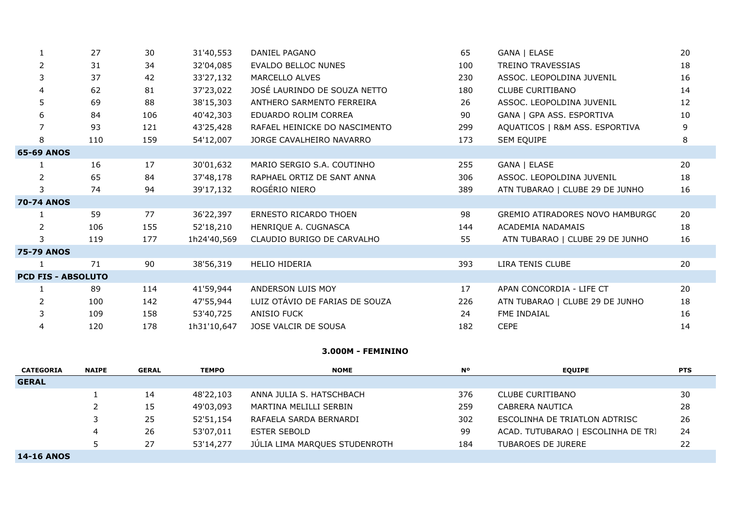|                           | 27  | 30  | 31'40,553   | DANIEL PAGANO                  | 65  | GANA   ELASE                           | 20 |
|---------------------------|-----|-----|-------------|--------------------------------|-----|----------------------------------------|----|
| $\overline{2}$            | 31  | 34  | 32'04,085   | <b>EVALDO BELLOC NUNES</b>     | 100 | <b>TREINO TRAVESSIAS</b>               | 18 |
| 3                         | 37  | 42  | 33'27,132   | MARCELLO ALVES                 | 230 | ASSOC. LEOPOLDINA JUVENIL              | 16 |
| 4                         | 62  | 81  | 37'23,022   | JOSÉ LAURINDO DE SOUZA NETTO   | 180 | <b>CLUBE CURITIBANO</b>                | 14 |
| 5.                        | 69  | 88  | 38'15,303   | ANTHERO SARMENTO FERREIRA      | 26  | ASSOC. LEOPOLDINA JUVENIL              | 12 |
| 6                         | 84  | 106 | 40'42,303   | EDUARDO ROLIM CORREA           | 90  | GANA   GPA ASS. ESPORTIVA              | 10 |
|                           | 93  | 121 | 43'25,428   | RAFAEL HEINICKE DO NASCIMENTO  | 299 | AQUATICOS   R&M ASS. ESPORTIVA         | 9  |
| 8                         | 110 | 159 | 54'12,007   | JORGE CAVALHEIRO NAVARRO       | 173 | SEM EQUIPE                             | 8  |
| <b>65-69 ANOS</b>         |     |     |             |                                |     |                                        |    |
|                           | 16  | 17  | 30'01,632   | MARIO SERGIO S.A. COUTINHO     | 255 | GANA   ELASE                           | 20 |
| $\overline{2}$            | 65  | 84  | 37'48,178   | RAPHAEL ORTIZ DE SANT ANNA     | 306 | ASSOC. LEOPOLDINA JUVENIL              | 18 |
| 3                         | 74  | 94  | 39'17,132   | ROGÉRIO NIERO                  | 389 | ATN TUBARAO   CLUBE 29 DE JUNHO        | 16 |
| <b>70-74 ANOS</b>         |     |     |             |                                |     |                                        |    |
|                           | 59  | 77  | 36'22,397   | <b>ERNESTO RICARDO THOEN</b>   | 98  | <b>GREMIO ATIRADORES NOVO HAMBURGC</b> | 20 |
| 2                         | 106 | 155 | 52'18,210   | HENRIQUE A. CUGNASCA           | 144 | ACADEMIA NADAMAIS                      | 18 |
| 3                         | 119 | 177 | 1h24'40,569 | CLAUDIO BURIGO DE CARVALHO     | 55  | ATN TUBARAO   CLUBE 29 DE JUNHO        | 16 |
| <b>75-79 ANOS</b>         |     |     |             |                                |     |                                        |    |
|                           | 71  | 90  | 38'56,319   | <b>HELIO HIDERIA</b>           | 393 | LIRA TENIS CLUBE                       | 20 |
| <b>PCD FIS - ABSOLUTO</b> |     |     |             |                                |     |                                        |    |
|                           | 89  | 114 | 41'59,944   | ANDERSON LUIS MOY              | 17  | APAN CONCORDIA - LIFE CT               | 20 |
|                           | 100 | 142 | 47'55,944   | LUIZ OTÁVIO DE FARIAS DE SOUZA | 226 | ATN TUBARAO   CLUBE 29 DE JUNHO        | 18 |
| 3                         | 109 | 158 | 53'40,725   | <b>ANISIO FUCK</b>             | 24  | FME INDAIAL                            | 16 |
| 4                         | 120 | 178 | 1h31'10,647 | JOSE VALCIR DE SOUSA           | 182 | <b>CEPE</b>                            | 14 |

## **3.000M - FEMININO**

| <b>CATEGORIA</b>  | <b>NAIPE</b> | <b>GERAL</b> | <b>TEMPO</b> | <b>NOME</b>                   | <b>N°</b> | <b>EOUIPE</b>                      | <b>PTS</b> |
|-------------------|--------------|--------------|--------------|-------------------------------|-----------|------------------------------------|------------|
| <b>GERAL</b>      |              |              |              |                               |           |                                    |            |
|                   |              | 14           | 48'22,103    | ANNA JULIA S. HATSCHBACH      | 376       | <b>CLUBE CURITIBANO</b>            | 30         |
|                   |              | 15           | 49'03,093    | MARTINA MELILLI SERBIN        | 259       | CABRERA NAUTICA                    | 28         |
|                   |              | 25           | 52'51,154    | RAFAELA SARDA BERNARDI        | 302       | ESCOLINHA DE TRIATLON ADTRISC      | 26         |
|                   | 4            | 26           | 53'07,011    | <b>ESTER SEBOLD</b>           | 99        | ACAD. TUTUBARAO   ESCOLINHA DE TRI | 24         |
|                   |              | 27           | 53'14,277    | JÚLIA LIMA MARQUES STUDENROTH | 184       | <b>TUBAROES DE JURERE</b>          | 22         |
| <b>14-16 ANOS</b> |              |              |              |                               |           |                                    |            |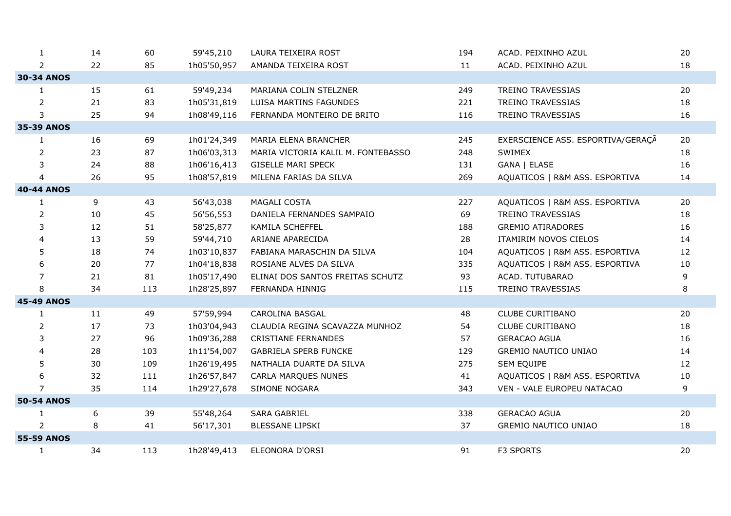| $\mathbf{1}$      | 14 | 60  | 59'45,210   | LAURA TEIXEIRA ROST                | 194 | ACAD. PEIXINHO AZUL               | 20 |
|-------------------|----|-----|-------------|------------------------------------|-----|-----------------------------------|----|
| $\overline{2}$    | 22 | 85  | 1h05'50,957 | AMANDA TEIXEIRA ROST               | 11  | ACAD. PEIXINHO AZUL               | 18 |
| <b>30-34 ANOS</b> |    |     |             |                                    |     |                                   |    |
| $\mathbf{1}$      | 15 | 61  | 59'49,234   | MARIANA COLIN STELZNER             | 249 | <b>TREINO TRAVESSIAS</b>          | 20 |
| $\overline{2}$    | 21 | 83  | 1h05'31,819 | LUISA MARTINS FAGUNDES             | 221 | <b>TREINO TRAVESSIAS</b>          | 18 |
| 3                 | 25 | 94  | 1h08'49,116 | FERNANDA MONTEIRO DE BRITO         | 116 | <b>TREINO TRAVESSIAS</b>          | 16 |
| 35-39 ANOS        |    |     |             |                                    |     |                                   |    |
| 1                 | 16 | 69  | 1h01'24,349 | MARIA ELENA BRANCHER               | 245 | EXERSCIENCE ASS. ESPORTIVA/GERAÇÃ | 20 |
| $\overline{2}$    | 23 | 87  | 1h06'03,313 | MARIA VICTORIA KALIL M. FONTEBASSO | 248 | SWIMEX                            | 18 |
| 3                 | 24 | 88  | 1h06'16,413 | <b>GISELLE MARI SPECK</b>          | 131 | GANA   ELASE                      | 16 |
| $\overline{4}$    | 26 | 95  | 1h08'57,819 | MILENA FARIAS DA SILVA             | 269 | AQUATICOS   R&M ASS. ESPORTIVA    | 14 |
| <b>40-44 ANOS</b> |    |     |             |                                    |     |                                   |    |
| $\mathbf{1}$      | 9  | 43  | 56'43,038   | MAGALI COSTA                       | 227 | AQUATICOS   R&M ASS. ESPORTIVA    | 20 |
| $\overline{2}$    | 10 | 45  | 56'56,553   | DANIELA FERNANDES SAMPAIO          | 69  | TREINO TRAVESSIAS                 | 18 |
| 3                 | 12 | 51  | 58'25,877   | KAMILA SCHEFFEL                    | 188 | <b>GREMIO ATIRADORES</b>          | 16 |
| 4                 | 13 | 59  | 59'44,710   | ARIANE APARECIDA                   | 28  | ITAMIRIM NOVOS CIELOS             | 14 |
| 5                 | 18 | 74  | 1h03'10,837 | FABIANA MARASCHIN DA SILVA         | 104 | AQUATICOS   R&M ASS. ESPORTIVA    | 12 |
| 6                 | 20 | 77  | 1h04'18,838 | ROSIANE ALVES DA SILVA             | 335 | AQUATICOS   R&M ASS. ESPORTIVA    | 10 |
| $\overline{7}$    | 21 | 81  | 1h05'17,490 | ELINAI DOS SANTOS FREITAS SCHUTZ   | 93  | ACAD. TUTUBARAO                   | 9  |
| 8                 | 34 | 113 | 1h28'25,897 | FERNANDA HINNIG                    | 115 | <b>TREINO TRAVESSIAS</b>          | 8  |
| <b>45-49 ANOS</b> |    |     |             |                                    |     |                                   |    |
| $\mathbf{1}$      | 11 | 49  | 57'59,994   | CAROLINA BASGAL                    | 48  | <b>CLUBE CURITIBANO</b>           | 20 |
| 2                 | 17 | 73  | 1h03'04,943 | CLAUDIA REGINA SCAVAZZA MUNHOZ     | 54  | CLUBE CURITIBANO                  | 18 |
| 3                 | 27 | 96  | 1h09'36,288 | <b>CRISTIANE FERNANDES</b>         | 57  | <b>GERACAO AGUA</b>               | 16 |
| 4                 | 28 | 103 | 1h11'54,007 | <b>GABRIELA SPERB FUNCKE</b>       | 129 | GREMIO NAUTICO UNIAO              | 14 |
| 5                 | 30 | 109 | 1h26'19,495 | NATHALIA DUARTE DA SILVA           | 275 | SEM EQUIPE                        | 12 |
| 6                 | 32 | 111 | 1h26'57,847 | CARLA MARQUES NUNES                | 41  | AQUATICOS   R&M ASS. ESPORTIVA    | 10 |
| $\overline{7}$    | 35 | 114 | 1h29'27,678 | SIMONE NOGARA                      | 343 | VEN - VALE EUROPEU NATACAO        | 9  |
| <b>50-54 ANOS</b> |    |     |             |                                    |     |                                   |    |
| 1                 | 6  | 39  | 55'48,264   | SARA GABRIEL                       | 338 | <b>GERACAO AGUA</b>               | 20 |
| $\overline{2}$    | 8  | 41  | 56'17,301   | <b>BLESSANE LIPSKI</b>             | 37  | <b>GREMIO NAUTICO UNIAO</b>       | 18 |
| <b>55-59 ANOS</b> |    |     |             |                                    |     |                                   |    |
| $\mathbf{1}$      | 34 | 113 | 1h28'49,413 | ELEONORA D'ORSI                    | 91  | F3 SPORTS                         | 20 |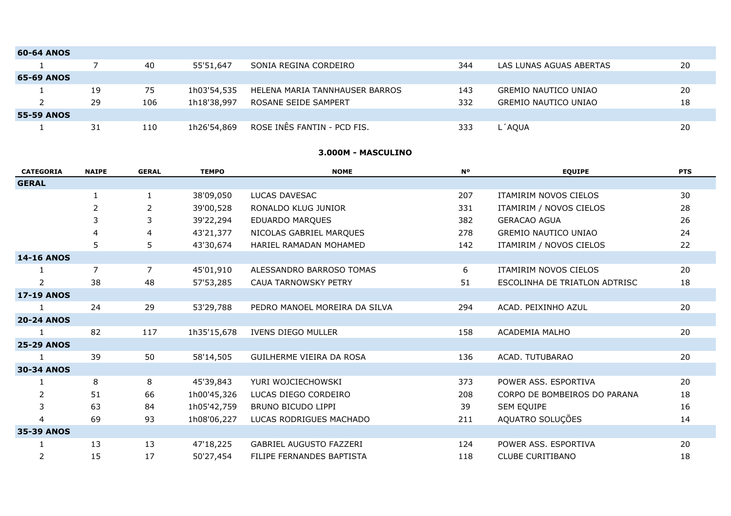| <b>60-64 ANOS</b> |    |     |             |                                |     |                             |    |
|-------------------|----|-----|-------------|--------------------------------|-----|-----------------------------|----|
|                   |    | 40  | 55'51,647   | SONIA REGINA CORDEIRO          | 344 | LAS LUNAS AGUAS ABERTAS     | 20 |
| <b>65-69 ANOS</b> |    |     |             |                                |     |                             |    |
|                   | 19 | 75  | 1h03'54,535 | HELENA MARIA TANNHAUSER BARROS | 143 | <b>GREMIO NAUTICO UNIAO</b> | 20 |
|                   | 29 | 106 | 1h18'38,997 | ROSANE SEIDE SAMPERT           | 332 | GREMIO NAUTICO UNIAO        | 18 |
| <b>55-59 ANOS</b> |    |     |             |                                |     |                             |    |
|                   | 31 | 110 | 1h26'54,869 | ROSE INÊS FANTIN - PCD FIS.    | 333 | L´AQUA                      | 20 |

#### **3.000M - MASCULINO**

| <b>CATEGORIA</b>  | <b>NAIPE</b>   | <b>GERAL</b>   | <b>TEMPO</b> | <b>NOME</b>                    | <b>N°</b> | <b>EQUIPE</b>                 | <b>PTS</b> |
|-------------------|----------------|----------------|--------------|--------------------------------|-----------|-------------------------------|------------|
| <b>GERAL</b>      |                |                |              |                                |           |                               |            |
|                   | 1              | 1              | 38'09,050    | LUCAS DAVESAC                  | 207       | ITAMIRIM NOVOS CIELOS         | 30         |
|                   | $\overline{2}$ | 2              | 39'00,528    | RONALDO KLUG JUNIOR            | 331       | ITAMIRIM / NOVOS CIELOS       | 28         |
|                   | 3              | 3              | 39'22,294    | EDUARDO MARQUES                | 382       | <b>GERACAO AGUA</b>           | 26         |
|                   | 4              | 4              | 43'21,377    | NICOLAS GABRIEL MARQUES        | 278       | <b>GREMIO NAUTICO UNIAO</b>   | 24         |
|                   | 5              | 5              | 43'30,674    | HARIEL RAMADAN MOHAMED         | 142       | ITAMIRIM / NOVOS CIELOS       | 22         |
| <b>14-16 ANOS</b> |                |                |              |                                |           |                               |            |
|                   | $\overline{7}$ | $\overline{7}$ | 45'01,910    | ALESSANDRO BARROSO TOMAS       | 6         | ITAMIRIM NOVOS CIELOS         | 20         |
| 2                 | 38             | 48             | 57'53,285    | <b>CAUA TARNOWSKY PETRY</b>    | 51        | ESCOLINHA DE TRIATLON ADTRISC | 18         |
| <b>17-19 ANOS</b> |                |                |              |                                |           |                               |            |
|                   | 24             | 29             | 53'29,788    | PEDRO MANOEL MOREIRA DA SILVA  | 294       | ACAD. PEIXINHO AZUL           | 20         |
| <b>20-24 ANOS</b> |                |                |              |                                |           |                               |            |
|                   | 82             | 117            | 1h35'15,678  | IVENS DIEGO MULLER             | 158       | ACADEMIA MALHO                | 20         |
| <b>25-29 ANOS</b> |                |                |              |                                |           |                               |            |
|                   | 39             | 50             | 58'14,505    | GUILHERME VIEIRA DA ROSA       | 136       | ACAD. TUTUBARAO               | 20         |
| <b>30-34 ANOS</b> |                |                |              |                                |           |                               |            |
|                   | 8              | 8              | 45'39,843    | YURI WOJCIECHOWSKI             | 373       | POWER ASS. ESPORTIVA          | 20         |
| 2                 | 51             | 66             | 1h00'45,326  | LUCAS DIEGO CORDEIRO           | 208       | CORPO DE BOMBEIROS DO PARANA  | 18         |
| 3                 | 63             | 84             | 1h05'42,759  | BRUNO BICUDO LIPPI             | 39        | SEM EQUIPE                    | 16         |
| 4                 | 69             | 93             | 1h08'06,227  | LUCAS RODRIGUES MACHADO        | 211       | AQUATRO SOLUÇÕES              | 14         |
| 35-39 ANOS        |                |                |              |                                |           |                               |            |
|                   | 13             | 13             | 47'18,225    | <b>GABRIEL AUGUSTO FAZZERI</b> | 124       | POWER ASS. ESPORTIVA          | 20         |
| 2                 | 15             | 17             | 50'27,454    | FILIPE FERNANDES BAPTISTA      | 118       | <b>CLUBE CURITIBANO</b>       | 18         |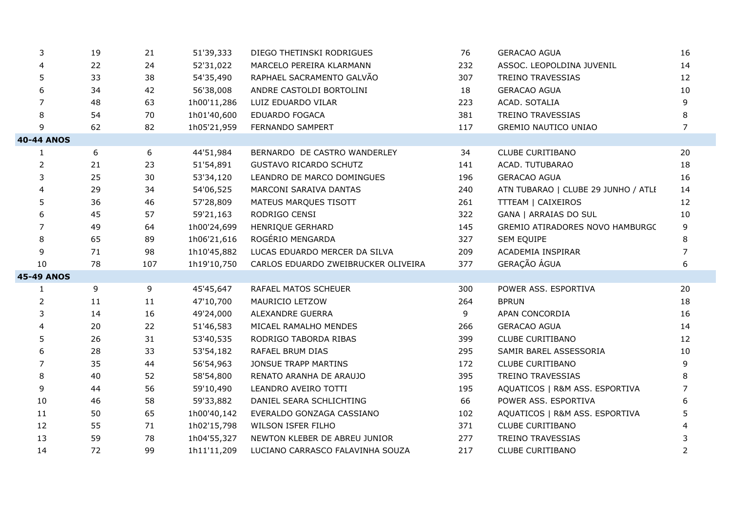| 3                 | 19 | 21  | 51'39,333   | DIEGO THETINSKI RODRIGUES           | 76  | <b>GERACAO AGUA</b>                 | 16             |
|-------------------|----|-----|-------------|-------------------------------------|-----|-------------------------------------|----------------|
| 4                 | 22 | 24  | 52'31,022   | MARCELO PEREIRA KLARMANN            | 232 | ASSOC. LEOPOLDINA JUVENIL           | 14             |
| 5                 | 33 | 38  | 54'35,490   | RAPHAEL SACRAMENTO GALVÃO           | 307 | TREINO TRAVESSIAS                   | 12             |
| 6                 | 34 | 42  | 56'38,008   | ANDRE CASTOLDI BORTOLINI            | 18  | <b>GERACAO AGUA</b>                 | 10             |
| 7                 | 48 | 63  | 1h00'11,286 | LUIZ EDUARDO VILAR                  | 223 | ACAD. SOTALIA                       | 9              |
| 8                 | 54 | 70  | 1h01'40,600 | EDUARDO FOGACA                      | 381 | TREINO TRAVESSIAS                   | 8              |
| 9                 | 62 | 82  | 1h05'21,959 | FERNANDO SAMPERT                    | 117 | GREMIO NAUTICO UNIAO                | $\overline{7}$ |
| <b>40-44 ANOS</b> |    |     |             |                                     |     |                                     |                |
| 1                 | 6  | 6   | 44'51,984   | BERNARDO DE CASTRO WANDERLEY        | 34  | <b>CLUBE CURITIBANO</b>             | 20             |
| $\overline{2}$    | 21 | 23  | 51'54,891   | <b>GUSTAVO RICARDO SCHUTZ</b>       | 141 | ACAD. TUTUBARAO                     | 18             |
| 3                 | 25 | 30  | 53'34,120   | LEANDRO DE MARCO DOMINGUES          | 196 | <b>GERACAO AGUA</b>                 | 16             |
| 4                 | 29 | 34  | 54'06,525   | MARCONI SARAIVA DANTAS              | 240 | ATN TUBARAO   CLUBE 29 JUNHO / ATLI | 14             |
| 5                 | 36 | 46  | 57'28,809   | MATEUS MARQUES TISOTT               | 261 | TTTEAM   CAIXEIROS                  | 12             |
| 6                 | 45 | 57  | 59'21,163   | RODRIGO CENSI                       | 322 | <b>GANA   ARRAIAS DO SUL</b>        | 10             |
| 7                 | 49 | 64  | 1h00'24,699 | HENRIQUE GERHARD                    | 145 | GREMIO ATIRADORES NOVO HAMBURGC     | 9              |
| 8                 | 65 | 89  | 1h06'21,616 | ROGÉRIO MENGARDA                    | 327 | SEM EQUIPE                          | 8              |
| 9                 | 71 | 98  | 1h10'45,882 | LUCAS EDUARDO MERCER DA SILVA       | 209 | ACADEMIA INSPIRAR                   | $\overline{7}$ |
| 10                | 78 | 107 | 1h19'10,750 | CARLOS EDUARDO ZWEIBRUCKER OLIVEIRA | 377 | GERAÇÃO ÁGUA                        | 6              |
| <b>45-49 ANOS</b> |    |     |             |                                     |     |                                     |                |
| 1                 | 9  | 9   | 45'45,647   | RAFAEL MATOS SCHEUER                | 300 | POWER ASS. ESPORTIVA                | 20             |
| 2                 | 11 | 11  | 47'10,700   | MAURICIO LETZOW                     | 264 | <b>BPRUN</b>                        | 18             |
| 3                 | 14 | 16  | 49'24,000   | ALEXANDRE GUERRA                    | 9   | APAN CONCORDIA                      | 16             |
| 4                 | 20 | 22  | 51'46,583   | MICAEL RAMALHO MENDES               | 266 | <b>GERACAO AGUA</b>                 | 14             |
| 5                 | 26 | 31  | 53'40,535   | RODRIGO TABORDA RIBAS               | 399 | <b>CLUBE CURITIBANO</b>             | 12             |
| 6                 | 28 | 33  | 53'54,182   | RAFAEL BRUM DIAS                    | 295 | SAMIR BAREL ASSESSORIA              | 10             |
| 7                 | 35 | 44  | 56'54,963   | JONSUE TRAPP MARTINS                | 172 | CLUBE CURITIBANO                    | 9              |
| 8                 | 40 | 52  | 58'54,800   | RENATO ARANHA DE ARAUJO             | 395 | <b>TREINO TRAVESSIAS</b>            | 8              |
| 9                 | 44 | 56  | 59'10,490   | LEANDRO AVEIRO TOTTI                | 195 | AQUATICOS   R&M ASS. ESPORTIVA      | 7              |
| 10                | 46 | 58  | 59'33,882   | DANIEL SEARA SCHLICHTING            | 66  | POWER ASS. ESPORTIVA                | 6              |
| 11                | 50 | 65  | 1h00'40,142 | EVERALDO GONZAGA CASSIANO           | 102 | AQUATICOS   R&M ASS. ESPORTIVA      | 5              |
| 12                | 55 | 71  | 1h02'15,798 | WILSON ISFER FILHO                  | 371 | <b>CLUBE CURITIBANO</b>             |                |
| 13                | 59 | 78  | 1h04'55,327 | NEWTON KLEBER DE ABREU JUNIOR       | 277 | <b>TREINO TRAVESSIAS</b>            | 3              |
| 14                | 72 | 99  | 1h11'11,209 | LUCIANO CARRASCO FALAVINHA SOUZA    | 217 | <b>CLUBE CURITIBANO</b>             | $\overline{2}$ |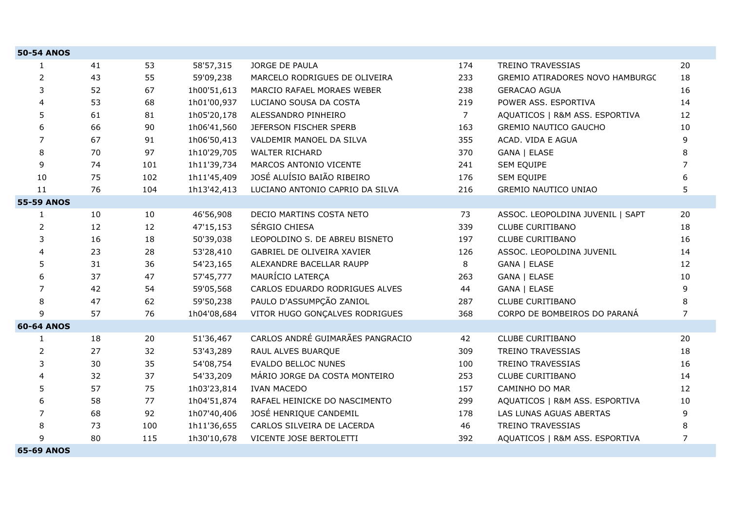| <b>50-54 ANOS</b> |    |     |             |                                  |                |                                  |                |
|-------------------|----|-----|-------------|----------------------------------|----------------|----------------------------------|----------------|
| $\mathbf{1}$      | 41 | 53  | 58'57,315   | JORGE DE PAULA                   | 174            | TREINO TRAVESSIAS                | 20             |
| $\overline{2}$    | 43 | 55  | 59'09,238   | MARCELO RODRIGUES DE OLIVEIRA    | 233            | GREMIO ATIRADORES NOVO HAMBURGC  | 18             |
| 3                 | 52 | 67  | 1h00'51,613 | MARCIO RAFAEL MORAES WEBER       | 238            | <b>GERACAO AGUA</b>              | 16             |
| 4                 | 53 | 68  | 1h01'00,937 | LUCIANO SOUSA DA COSTA           | 219            | POWER ASS. ESPORTIVA             | 14             |
| 5                 | 61 | 81  | 1h05'20,178 | ALESSANDRO PINHEIRO              | $\overline{7}$ | AQUATICOS   R&M ASS. ESPORTIVA   | 12             |
| 6                 | 66 | 90  | 1h06'41,560 | JEFERSON FISCHER SPERB           | 163            | <b>GREMIO NAUTICO GAUCHO</b>     | 10             |
| 7                 | 67 | 91  | 1h06'50,413 | VALDEMIR MANOEL DA SILVA         | 355            | ACAD. VIDA E AGUA                | 9              |
| 8                 | 70 | 97  | 1h10'29,705 | <b>WALTER RICHARD</b>            | 370            | GANA   ELASE                     | 8              |
| 9                 | 74 | 101 | 1h11'39,734 | MARCOS ANTONIO VICENTE           | 241            | <b>SEM EQUIPE</b>                | $\overline{7}$ |
| 10                | 75 | 102 | 1h11'45,409 | JOSÉ ALUÍSIO BAIÃO RIBEIRO       | 176            | SEM EQUIPE                       | 6              |
| 11                | 76 | 104 | 1h13'42,413 | LUCIANO ANTONIO CAPRIO DA SILVA  | 216            | <b>GREMIO NAUTICO UNIAO</b>      | 5              |
| <b>55-59 ANOS</b> |    |     |             |                                  |                |                                  |                |
| $\mathbf{1}$      | 10 | 10  | 46'56,908   | DECIO MARTINS COSTA NETO         | 73             | ASSOC. LEOPOLDINA JUVENIL   SAPT | 20             |
| 2                 | 12 | 12  | 47'15,153   | SÉRGIO CHIESA                    | 339            | <b>CLUBE CURITIBANO</b>          | 18             |
| 3                 | 16 | 18  | 50'39,038   | LEOPOLDINO S. DE ABREU BISNETO   | 197            | <b>CLUBE CURITIBANO</b>          | 16             |
| 4                 | 23 | 28  | 53'28,410   | GABRIEL DE OLIVEIRA XAVIER       | 126            | ASSOC. LEOPOLDINA JUVENIL        | 14             |
| 5                 | 31 | 36  | 54'23,165   | ALEXANDRE BACELLAR RAUPP         | 8              | GANA   ELASE                     | 12             |
| 6                 | 37 | 47  | 57'45,777   | MAURÍCIO LATERÇA                 | 263            | GANA   ELASE                     | 10             |
| $\overline{7}$    | 42 | 54  | 59'05,568   | CARLOS EDUARDO RODRIGUES ALVES   | 44             | GANA   ELASE                     | 9              |
| 8                 | 47 | 62  | 59'50,238   | PAULO D'ASSUMPÇÃO ZANIOL         | 287            | <b>CLUBE CURITIBANO</b>          | 8              |
| 9                 | 57 | 76  | 1h04'08,684 | VITOR HUGO GONÇALVES RODRIGUES   | 368            | CORPO DE BOMBEIROS DO PARANÁ     | $\overline{7}$ |
| <b>60-64 ANOS</b> |    |     |             |                                  |                |                                  |                |
| 1                 | 18 | 20  | 51'36,467   | CARLOS ANDRÉ GUIMARÃES PANGRACIO | 42             | <b>CLUBE CURITIBANO</b>          | 20             |
| 2                 | 27 | 32  | 53'43,289   | RAUL ALVES BUARQUE               | 309            | TREINO TRAVESSIAS                | 18             |
| 3                 | 30 | 35  | 54'08,754   | <b>EVALDO BELLOC NUNES</b>       | 100            | <b>TREINO TRAVESSIAS</b>         | 16             |
| 4                 | 32 | 37  | 54'33,209   | MÁRIO JORGE DA COSTA MONTEIRO    | 253            | <b>CLUBE CURITIBANO</b>          | 14             |
| 5                 | 57 | 75  | 1h03'23,814 | <b>IVAN MACEDO</b>               | 157            | CAMINHO DO MAR                   | 12             |
| 6                 | 58 | 77  | 1h04'51,874 | RAFAEL HEINICKE DO NASCIMENTO    | 299            | AQUATICOS   R&M ASS. ESPORTIVA   | 10             |
| $\overline{7}$    | 68 | 92  | 1h07'40,406 | JOSÉ HENRIQUE CANDEMIL           | 178            | LAS LUNAS AGUAS ABERTAS          | 9              |
| 8                 | 73 | 100 | 1h11'36,655 | CARLOS SILVEIRA DE LACERDA       | 46             | TREINO TRAVESSIAS                | 8              |
| 9                 | 80 | 115 | 1h30'10,678 | VICENTE JOSE BERTOLETTI          | 392            | AQUATICOS   R&M ASS. ESPORTIVA   | $\overline{7}$ |
| <b>65-69 ANOS</b> |    |     |             |                                  |                |                                  |                |